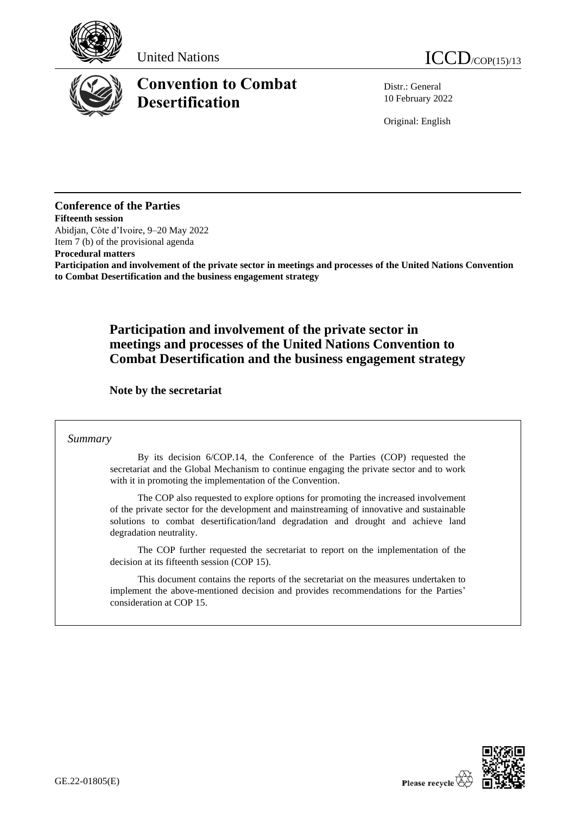





# **Convention to Combat Desertification**

Distr.: General 10 February 2022

Original: English

## **Conference of the Parties**

**Fifteenth session** Abidjan, Côte d'Ivoire, 9–20 May 2022 Item 7 (b) of the provisional agenda

**Procedural matters**

**Participation and involvement of the private sector in meetings and processes of the United Nations Convention to Combat Desertification and the business engagement strategy**

## **Participation and involvement of the private sector in meetings and processes of the United Nations Convention to Combat Desertification and the business engagement strategy**

**Note by the secretariat**

### *Summary*

By its decision 6/COP.14, the Conference of the Parties (COP) requested the secretariat and the Global Mechanism to continue engaging the private sector and to work with it in promoting the implementation of the Convention.

The COP also requested to explore options for promoting the increased involvement of the private sector for the development and mainstreaming of innovative and sustainable solutions to combat desertification/land degradation and drought and achieve land degradation neutrality.

The COP further requested the secretariat to report on the implementation of the decision at its fifteenth session (COP 15).

This document contains the reports of the secretariat on the measures undertaken to implement the above-mentioned decision and provides recommendations for the Parties' consideration at COP 15.

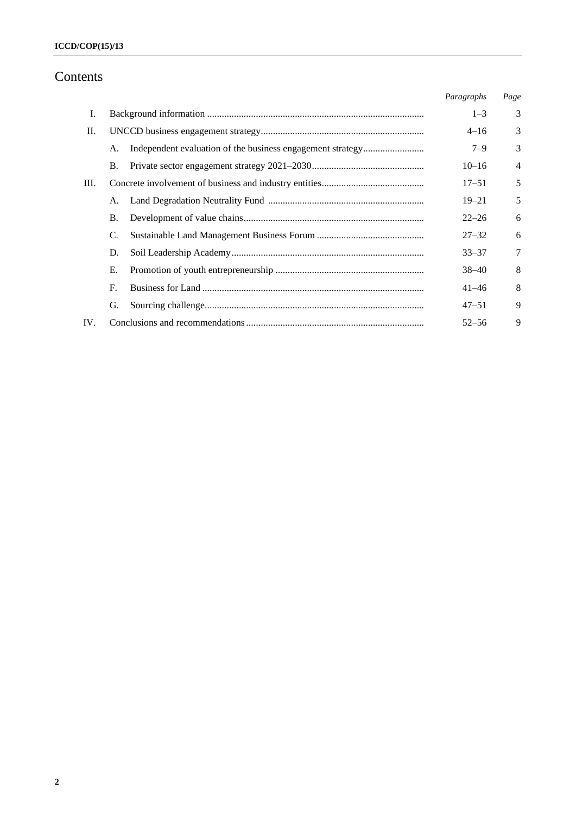## **ICCD/COP(15)/13**

## Contents

|      |           |  | Paragraphs | Page           |
|------|-----------|--|------------|----------------|
| Ι.   |           |  | $1 - 3$    | 3              |
| П.   |           |  |            | 3              |
|      | A.        |  | $7 - 9$    | 3              |
|      | Β.        |  | $10 - 16$  | $\overline{4}$ |
| III. |           |  | $17 - 51$  | 5              |
|      | A.        |  | $19 - 21$  | 5              |
|      | <b>B.</b> |  | $22 - 26$  | 6              |
|      | C.        |  | $27 - 32$  | 6              |
|      | D.        |  | $33 - 37$  | 7              |
|      | Е.        |  | $38 - 40$  | 8              |
|      | F.        |  | $41 - 46$  | 8              |
|      | G.        |  | $47 - 51$  | 9              |
| IV.  |           |  | $52 - 56$  | 9              |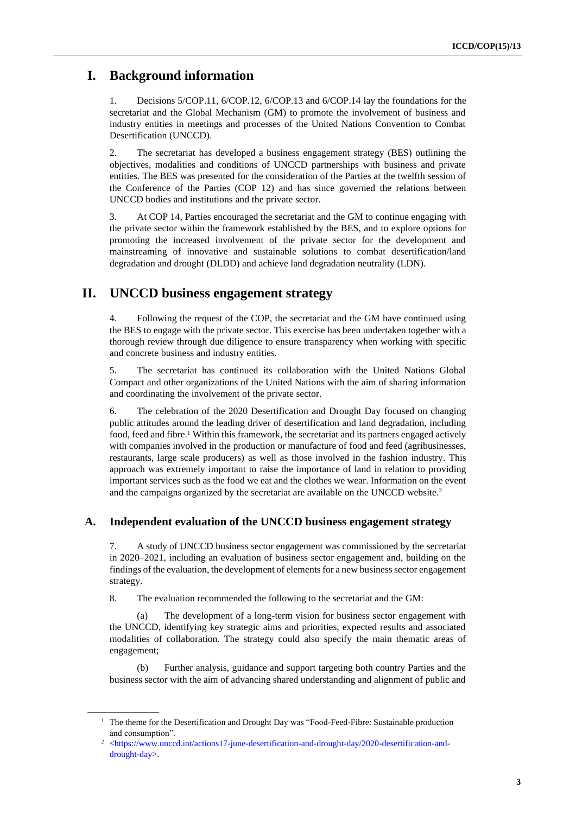## **I. Background information**

1. Decisions 5/COP.11, 6/COP.12, 6/COP.13 and 6/COP.14 lay the foundations for the secretariat and the Global Mechanism (GM) to promote the involvement of business and industry entities in meetings and processes of the United Nations Convention to Combat Desertification (UNCCD).

2. The secretariat has developed a business engagement strategy (BES) outlining the objectives, modalities and conditions of UNCCD partnerships with business and private entities. The BES was presented for the consideration of the Parties at the twelfth session of the Conference of the Parties (COP 12) and has since governed the relations between UNCCD bodies and institutions and the private sector.

3. At COP 14, Parties encouraged the secretariat and the GM to continue engaging with the private sector within the framework established by the BES, and to explore options for promoting the increased involvement of the private sector for the development and mainstreaming of innovative and sustainable solutions to combat desertification/land degradation and drought (DLDD) and achieve land degradation neutrality (LDN).

## **II. UNCCD business engagement strategy**

4. Following the request of the COP, the secretariat and the GM have continued using the BES to engage with the private sector. This exercise has been undertaken together with a thorough review through due diligence to ensure transparency when working with specific and concrete business and industry entities.

5. The secretariat has continued its collaboration with the United Nations Global Compact and other organizations of the United Nations with the aim of sharing information and coordinating the involvement of the private sector.

6. The celebration of the 2020 Desertification and Drought Day focused on changing public attitudes around the leading driver of desertification and land degradation, including food, feed and fibre.<sup>1</sup> Within this framework, the secretariat and its partners engaged actively with companies involved in the production or manufacture of food and feed (agribusinesses, restaurants, large scale producers) as well as those involved in the fashion industry. This approach was extremely important to raise the importance of land in relation to providing important services such as the food we eat and the clothes we wear. Information on the event and the campaigns organized by the secretariat are available on the UNCCD website. 2

### **A. Independent evaluation of the UNCCD business engagement strategy**

7. A study of UNCCD business sector engagement was commissioned by the secretariat in 2020–2021, including an evaluation of business sector engagement and, building on the findings of the evaluation, the development of elements for a new business sector engagement strategy.

8. The evaluation recommended the following to the secretariat and the GM:

(a) The development of a long-term vision for business sector engagement with the UNCCD, identifying key strategic aims and priorities, expected results and associated modalities of collaboration. The strategy could also specify the main thematic areas of engagement;

(b) Further analysis, guidance and support targeting both country Parties and the business sector with the aim of advancing shared understanding and alignment of public and

<sup>&</sup>lt;sup>1</sup> The theme for the Desertification and Drought Day was "Food-Feed-Fibre: Sustainable production and consumption".

<sup>&</sup>lt;sup>2</sup> [<https://www.unccd.int/actions17-june-desertification-and-drought-day/2020-desertification-and](https://www.unccd.int/actions17-june-desertification-and-drought-day/2020-desertification-and-drought-day)[drought-day>](https://www.unccd.int/actions17-june-desertification-and-drought-day/2020-desertification-and-drought-day).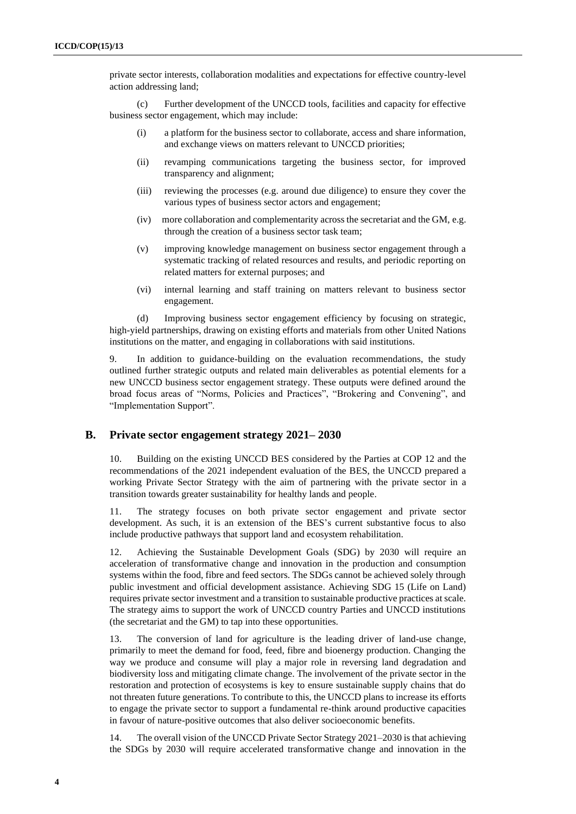private sector interests, collaboration modalities and expectations for effective country-level action addressing land;

(c) Further development of the UNCCD tools, facilities and capacity for effective business sector engagement, which may include:

- (i) a platform for the business sector to collaborate, access and share information, and exchange views on matters relevant to UNCCD priorities;
- (ii) revamping communications targeting the business sector, for improved transparency and alignment;
- (iii) reviewing the processes (e.g. around due diligence) to ensure they cover the various types of business sector actors and engagement;
- (iv) more collaboration and complementarity across the secretariat and the GM, e.g. through the creation of a business sector task team;
- (v) improving knowledge management on business sector engagement through a systematic tracking of related resources and results, and periodic reporting on related matters for external purposes; and
- (vi) internal learning and staff training on matters relevant to business sector engagement.

(d) Improving business sector engagement efficiency by focusing on strategic, high-yield partnerships, drawing on existing efforts and materials from other United Nations institutions on the matter, and engaging in collaborations with said institutions.

9. In addition to guidance-building on the evaluation recommendations, the study outlined further strategic outputs and related main deliverables as potential elements for a new UNCCD business sector engagement strategy. These outputs were defined around the broad focus areas of "Norms, Policies and Practices", "Brokering and Convening", and "Implementation Support".

#### **B. Private sector engagement strategy 2021– 2030**

10. Building on the existing UNCCD BES considered by the Parties at COP 12 and the recommendations of the 2021 independent evaluation of the BES, the UNCCD prepared a working Private Sector Strategy with the aim of partnering with the private sector in a transition towards greater sustainability for healthy lands and people.

11. The strategy focuses on both private sector engagement and private sector development. As such, it is an extension of the BES's current substantive focus to also include productive pathways that support land and ecosystem rehabilitation.

12. Achieving the Sustainable Development Goals (SDG) by 2030 will require an acceleration of transformative change and innovation in the production and consumption systems within the food, fibre and feed sectors. The SDGs cannot be achieved solely through public investment and official development assistance. Achieving SDG 15 (Life on Land) requires private sector investment and a transition to sustainable productive practices at scale. The strategy aims to support the work of UNCCD country Parties and UNCCD institutions (the secretariat and the GM) to tap into these opportunities.

13. The conversion of land for agriculture is the leading driver of land-use change, primarily to meet the demand for food, feed, fibre and bioenergy production. Changing the way we produce and consume will play a major role in reversing land degradation and biodiversity loss and mitigating climate change. The involvement of the private sector in the restoration and protection of ecosystems is key to ensure sustainable supply chains that do not threaten future generations. To contribute to this, the UNCCD plans to increase its efforts to engage the private sector to support a fundamental re-think around productive capacities in favour of nature-positive outcomes that also deliver socioeconomic benefits.

14. The overall vision of the UNCCD Private Sector Strategy 2021–2030 is that achieving the SDGs by 2030 will require accelerated transformative change and innovation in the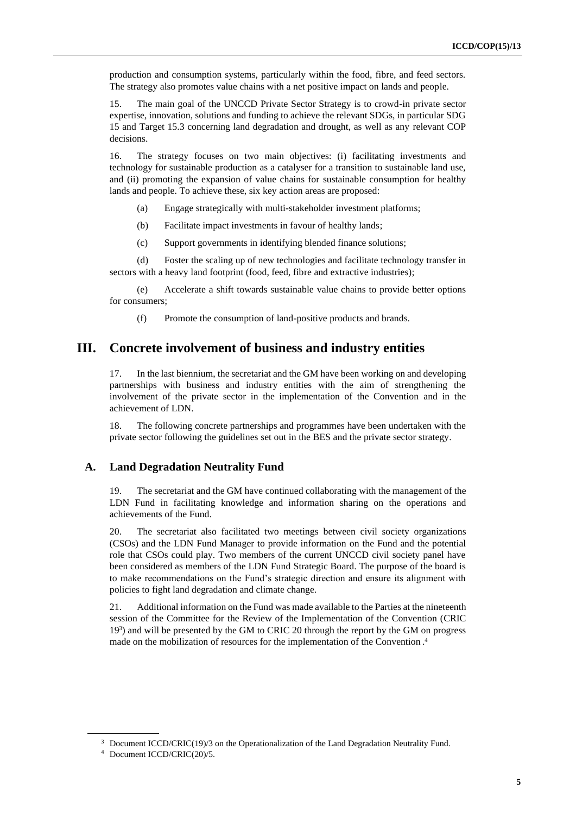production and consumption systems, particularly within the food, fibre, and feed sectors. The strategy also promotes value chains with a net positive impact on lands and people.

15. The main goal of the UNCCD Private Sector Strategy is to crowd-in private sector expertise, innovation, solutions and funding to achieve the relevant SDGs, in particular SDG 15 and Target 15.3 concerning land degradation and drought, as well as any relevant COP decisions.

16. The strategy focuses on two main objectives: (i) facilitating investments and technology for sustainable production as a catalyser for a transition to sustainable land use, and (ii) promoting the expansion of value chains for sustainable consumption for healthy lands and people. To achieve these, six key action areas are proposed:

(a) Engage strategically with multi-stakeholder investment platforms;

(b) Facilitate impact investments in favour of healthy lands;

(c) Support governments in identifying blended finance solutions;

(d) Foster the scaling up of new technologies and facilitate technology transfer in sectors with a heavy land footprint (food, feed, fibre and extractive industries);

(e) Accelerate a shift towards sustainable value chains to provide better options for consumers;

(f) Promote the consumption of land-positive products and brands.

## **III. Concrete involvement of business and industry entities**

17. In the last biennium, the secretariat and the GM have been working on and developing partnerships with business and industry entities with the aim of strengthening the involvement of the private sector in the implementation of the Convention and in the achievement of LDN.

18. The following concrete partnerships and programmes have been undertaken with the private sector following the guidelines set out in the BES and the private sector strategy.

#### **A. Land Degradation Neutrality Fund**

19. The secretariat and the GM have continued collaborating with the management of the LDN Fund in facilitating knowledge and information sharing on the operations and achievements of the Fund.

20. The secretariat also facilitated two meetings between civil society organizations (CSOs) and the LDN Fund Manager to provide information on the Fund and the potential role that CSOs could play. Two members of the current UNCCD civil society panel have been considered as members of the LDN Fund Strategic Board. The purpose of the board is to make recommendations on the Fund's strategic direction and ensure its alignment with policies to fight land degradation and climate change.

21. Additional information on the Fund was made available to the Parties at the nineteenth session of the Committee for the Review of the Implementation of the Convention (CRIC 19<sup>3</sup> ) and will be presented by the GM to CRIC 20 through the report by the GM on progress made on the mobilization of resources for the implementation of the Convention . 4

<sup>&</sup>lt;sup>3</sup> Document ICCD/CRIC(19)/3 on the Operationalization of the Land Degradation Neutrality Fund.

<sup>4</sup> Document ICCD/CRIC(20)/5.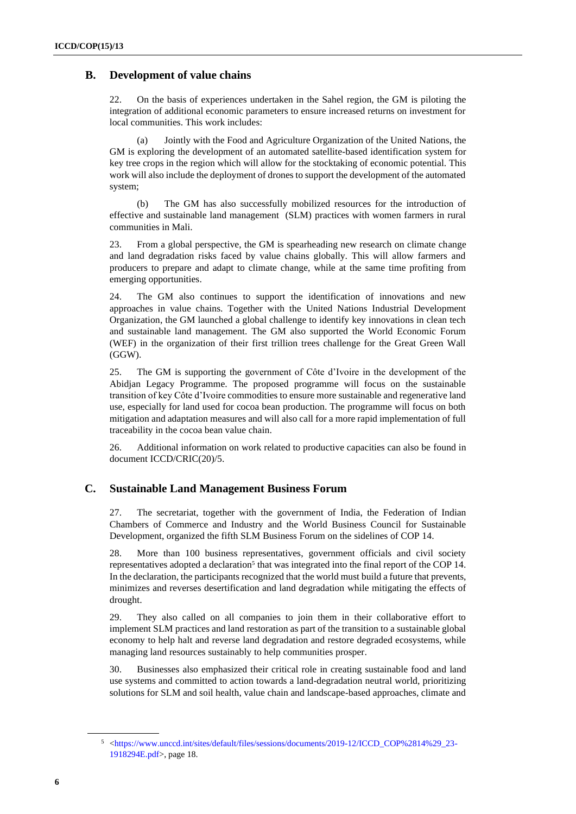## **B. Development of value chains**

22. On the basis of experiences undertaken in the Sahel region, the GM is piloting the integration of additional economic parameters to ensure increased returns on investment for local communities. This work includes:

(a) Jointly with the Food and Agriculture Organization of the United Nations, the GM is exploring the development of an automated satellite-based identification system for key tree crops in the region which will allow for the stocktaking of economic potential. This work will also include the deployment of drones to support the development of the automated system;

(b) The GM has also successfully mobilized resources for the introduction of effective and sustainable land management (SLM) practices with women farmers in rural communities in Mali.

23. From a global perspective, the GM is spearheading new research on climate change and land degradation risks faced by value chains globally. This will allow farmers and producers to prepare and adapt to climate change, while at the same time profiting from emerging opportunities.

24. The GM also continues to support the identification of innovations and new approaches in value chains. Together with the United Nations Industrial Development Organization, the GM launched a global challenge to identify key innovations in clean tech and sustainable land management. The GM also supported the World Economic Forum (WEF) in the organization of their first trillion trees challenge for the Great Green Wall (GGW).

25. The GM is supporting the government of Côte d'Ivoire in the development of the Abidjan Legacy Programme. The proposed programme will focus on the sustainable transition of key Côte d'Ivoire commodities to ensure more sustainable and regenerative land use, especially for land used for cocoa bean production. The programme will focus on both mitigation and adaptation measures and will also call for a more rapid implementation of full traceability in the cocoa bean value chain.

26. Additional information on work related to productive capacities can also be found in document ICCD/CRIC(20)/5.

## **C. Sustainable Land Management Business Forum**

27. The secretariat, together with the government of India, the Federation of Indian Chambers of Commerce and Industry and the World Business Council for Sustainable Development, organized the fifth SLM Business Forum on the sidelines of COP 14.

28. More than 100 business representatives, government officials and civil society representatives adopted a declaration<sup>5</sup> that was integrated into the final report of the COP 14. In the declaration, the participants recognized that the world must build a future that prevents, minimizes and reverses desertification and land degradation while mitigating the effects of drought.

29. They also called on all companies to join them in their collaborative effort to implement SLM practices and land restoration as part of the transition to a sustainable global economy to help halt and reverse land degradation and restore degraded ecosystems, while managing land resources sustainably to help communities prosper.

30. Businesses also emphasized their critical role in creating sustainable food and land use systems and committed to action towards a land-degradation neutral world, prioritizing solutions for SLM and soil health, value chain and landscape-based approaches, climate and

<sup>5</sup> [<https://www.unccd.int/sites/default/files/sessions/documents/2019-12/ICCD\\_COP%2814%29\\_23-](https://www.unccd.int/sites/default/files/sessions/documents/2019-12/ICCD_COP%2814%29_23-1918294E.pdf) [1918294E.pdf>](https://www.unccd.int/sites/default/files/sessions/documents/2019-12/ICCD_COP%2814%29_23-1918294E.pdf), page 18.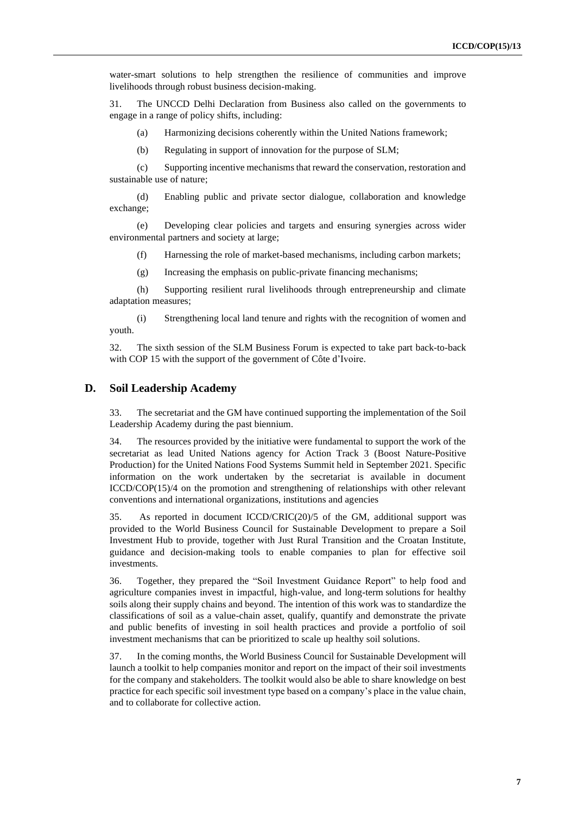water-smart solutions to help strengthen the resilience of communities and improve livelihoods through robust business decision-making.

31. The UNCCD Delhi Declaration from Business also called on the governments to engage in a range of policy shifts, including:

(a) Harmonizing decisions coherently within the United Nations framework;

(b) Regulating in support of innovation for the purpose of SLM;

(c) Supporting incentive mechanisms that reward the conservation, restoration and sustainable use of nature;

(d) Enabling public and private sector dialogue, collaboration and knowledge exchange;

(e) Developing clear policies and targets and ensuring synergies across wider environmental partners and society at large;

(f) Harnessing the role of market-based mechanisms, including carbon markets;

(g) Increasing the emphasis on public-private financing mechanisms;

(h) Supporting resilient rural livelihoods through entrepreneurship and climate adaptation measures;

(i) Strengthening local land tenure and rights with the recognition of women and youth.

32. The sixth session of the SLM Business Forum is expected to take part back-to-back with COP 15 with the support of the government of Côte d'Ivoire.

#### **D. Soil Leadership Academy**

33. The secretariat and the GM have continued supporting the implementation of the Soil Leadership Academy during the past biennium.

34. The resources provided by the initiative were fundamental to support the work of the secretariat as lead United Nations agency for Action Track 3 (Boost Nature-Positive Production) for the United Nations Food Systems Summit held in September 2021. Specific information on the work undertaken by the secretariat is available in document ICCD/COP(15)/4 on the promotion and strengthening of relationships with other relevant conventions and international organizations, institutions and agencies

35. As reported in document ICCD/CRIC(20)/5 of the GM, additional support was provided to the World Business Council for Sustainable Development to prepare a Soil Investment Hub to provide, together with Just Rural Transition and the Croatan Institute, guidance and decision-making tools to enable companies to plan for effective soil investments.

36. Together, they prepared the "Soil Investment Guidance Report" to help food and agriculture companies invest in impactful, high-value, and long-term solutions for healthy soils along their supply chains and beyond. The intention of this work was to standardize the classifications of soil as a value-chain asset, qualify, quantify and demonstrate the private and public benefits of investing in soil health practices and provide a portfolio of soil investment mechanisms that can be prioritized to scale up healthy soil solutions.

37. In the coming months, the World Business Council for Sustainable Development will launch a toolkit to help companies monitor and report on the impact of their soil investments for the company and stakeholders. The toolkit would also be able to share knowledge on best practice for each specific soil investment type based on a company's place in the value chain, and to collaborate for collective action.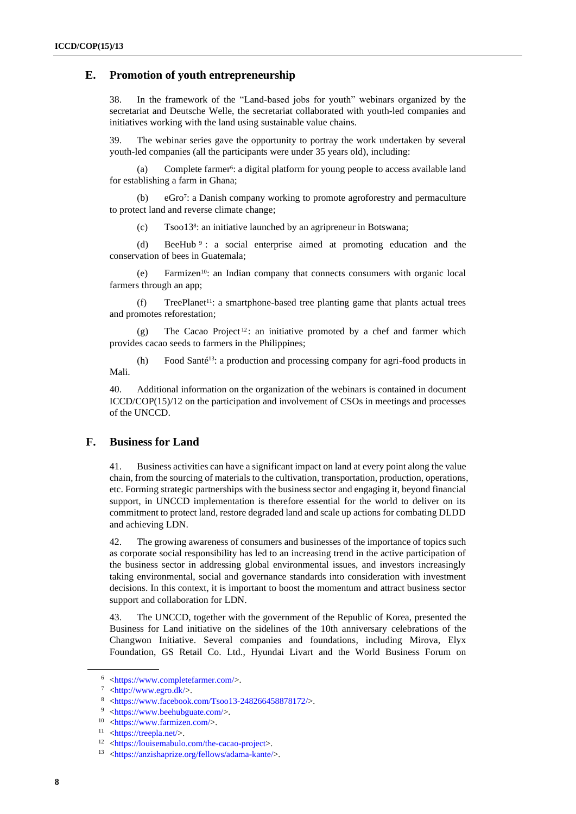#### **E. Promotion of youth entrepreneurship**

38. In the framework of the "Land-based jobs for youth" webinars organized by the secretariat and Deutsche Welle, the secretariat collaborated with youth-led companies and initiatives working with the land using sustainable value chains.

39. The webinar series gave the opportunity to portray the work undertaken by several youth-led companies (all the participants were under 35 years old), including:

(a) Complete farmer<sup>6</sup>: a digital platform for young people to access available land for establishing a farm in Ghana;

(b) eGro<sup>7</sup> : a Danish company working to promote agroforestry and permaculture to protect land and reverse climate change;

(c) Tsoo13<sup>8</sup> : an initiative launched by an agripreneur in Botswana;

(d) BeeHub <sup>9</sup> : a social enterprise aimed at promoting education and the conservation of bees in Guatemala;

(e) Farmizen10: an Indian company that connects consumers with organic local farmers through an app;

(f) TreePlanet<sup>11</sup>: a smartphone-based tree planting game that plants actual trees and promotes reforestation;

(g) The Cacao Project<sup>12</sup>: an initiative promoted by a chef and farmer which provides cacao seeds to farmers in the Philippines;

(h) Food Santé13: a production and processing company for agri-food products in Mali.

40. Additional information on the organization of the webinars is contained in document ICCD/COP(15)/12 on the participation and involvement of CSOs in meetings and processes of the UNCCD.

### **F. Business for Land**

41. Business activities can have a significant impact on land at every point along the value chain, from the sourcing of materials to the cultivation, transportation, production, operations, etc. Forming strategic partnerships with the business sector and engaging it, beyond financial support, in UNCCD implementation is therefore essential for the world to deliver on its commitment to protect land, restore degraded land and scale up actions for combating DLDD and achieving LDN.

42. The growing awareness of consumers and businesses of the importance of topics such as corporate social responsibility has led to an increasing trend in the active participation of the business sector in addressing global environmental issues, and investors increasingly taking environmental, social and governance standards into consideration with investment decisions. In this context, it is important to boost the momentum and attract business sector support and collaboration for LDN.

43. The UNCCD, together with the government of the Republic of Korea, presented the Business for Land initiative on the sidelines of the 10th anniversary celebrations of the Changwon Initiative. Several companies and foundations, including Mirova, Elyx Foundation, GS Retail Co. Ltd., Hyundai Livart and the World Business Forum on

<sup>6</sup> [<https://www.completefarmer.com/>](https://www.completefarmer.com/).

 $7$  [<http://www.egro.dk/>](http://www.egro.dk/).

<sup>8</sup> [<https://www.facebook.com/Tsoo13-248266458878172/>](https://www.facebook.com/Tsoo13-248266458878172/).

<sup>9</sup> [<https://www.beehubguate.com/>](https://www.beehubguate.com/).

<sup>10</sup> [<https://www.farmizen.com/>](https://www.farmizen.com/).

 $11$  [<https://treepla.net/>](https://treepla.net/).

<sup>12</sup> [<https://louisemabulo.com/the-cacao-project>](https://louisemabulo.com/the-cacao-project).

<sup>13</sup> [<https://anzishaprize.org/fellows/adama-kante/>](https://anzishaprize.org/fellows/adama-kante/).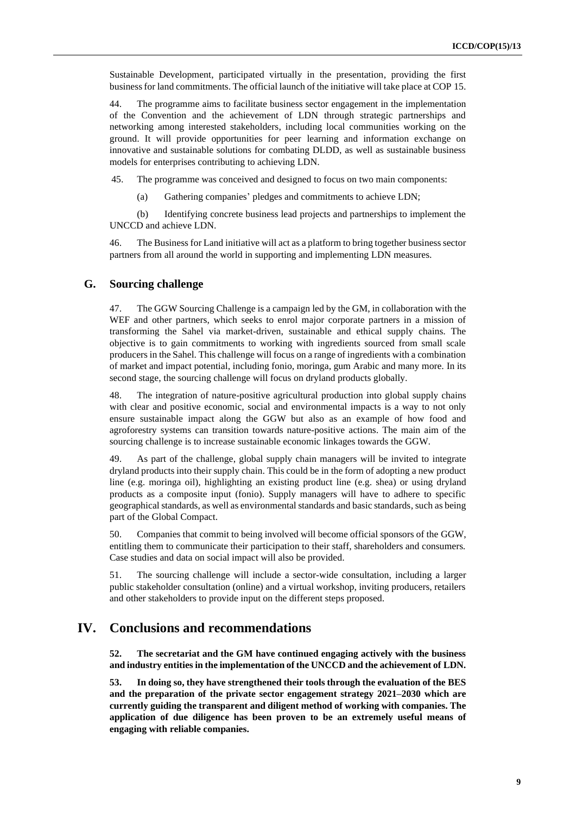Sustainable Development, participated virtually in the presentation, providing the first business for land commitments. The official launch of the initiative will take place at COP 15.

44. The programme aims to facilitate business sector engagement in the implementation of the Convention and the achievement of LDN through strategic partnerships and networking among interested stakeholders, including local communities working on the ground. It will provide opportunities for peer learning and information exchange on innovative and sustainable solutions for combating DLDD, as well as sustainable business models for enterprises contributing to achieving LDN.

45. The programme was conceived and designed to focus on two main components:

(a) Gathering companies' pledges and commitments to achieve LDN;

(b) Identifying concrete business lead projects and partnerships to implement the UNCCD and achieve LDN.

46. The Business for Land initiative will act as a platform to bring together business sector partners from all around the world in supporting and implementing LDN measures.

#### **G. Sourcing challenge**

47. The GGW Sourcing Challenge is a campaign led by the GM, in collaboration with the WEF and other partners, which seeks to enrol major corporate partners in a mission of transforming the Sahel via market-driven, sustainable and ethical supply chains. The objective is to gain commitments to working with ingredients sourced from small scale producers in the Sahel. This challenge will focus on a range of ingredients with a combination of market and impact potential, including fonio, moringa, gum Arabic and many more. In its second stage, the sourcing challenge will focus on dryland products globally.

48. The integration of nature-positive agricultural production into global supply chains with clear and positive economic, social and environmental impacts is a way to not only ensure sustainable impact along the GGW but also as an example of how food and agroforestry systems can transition towards nature-positive actions. The main aim of the sourcing challenge is to increase sustainable economic linkages towards the GGW.

49. As part of the challenge, global supply chain managers will be invited to integrate dryland products into their supply chain. This could be in the form of adopting a new product line (e.g. moringa oil), highlighting an existing product line (e.g. shea) or using dryland products as a composite input (fonio). Supply managers will have to adhere to specific geographical standards, as well as environmental standards and basic standards, such as being part of the Global Compact.

50. Companies that commit to being involved will become official sponsors of the GGW, entitling them to communicate their participation to their staff, shareholders and consumers. Case studies and data on social impact will also be provided.

51. The sourcing challenge will include a sector-wide consultation, including a larger public stakeholder consultation (online) and a virtual workshop, inviting producers, retailers and other stakeholders to provide input on the different steps proposed.

## **IV. Conclusions and recommendations**

**52. The secretariat and the GM have continued engaging actively with the business and industry entities in the implementation of the UNCCD and the achievement of LDN.**

**53. In doing so, they have strengthened their tools through the evaluation of the BES and the preparation of the private sector engagement strategy 2021–2030 which are currently guiding the transparent and diligent method of working with companies. The application of due diligence has been proven to be an extremely useful means of engaging with reliable companies.**